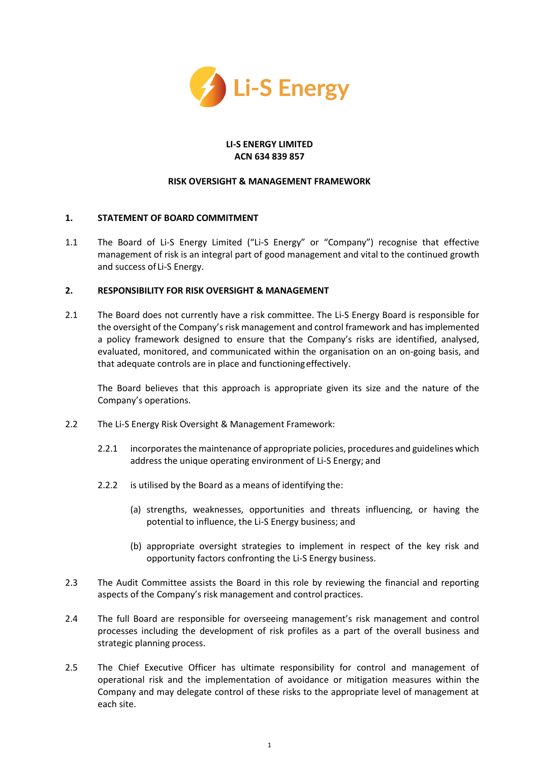

#### **LI-S ENERGY LIMITED ACN 634 839 857**

## **RISK OVERSIGHT & MANAGEMENT FRAMEWORK**

# **1. STATEMENT OF BOARD COMMITMENT**

1.1 The Board of Li-S Energy Limited ("Li-S Energy" or "Company") recognise that effective management of risk is an integral part of good management and vital to the continued growth and success of Li-S Energy.

### **2. RESPONSIBILITY FOR RISK OVERSIGHT & MANAGEMENT**

2.1 The Board does not currently have a risk committee. The Li-S Energy Board is responsible for the oversight of the Company's risk management and control framework and has implemented a policy framework designed to ensure that the Company's risks are identified, analysed, evaluated, monitored, and communicated within the organisation on an on-going basis, and that adequate controls are in place and functioningeffectively.

The Board believes that this approach is appropriate given its size and the nature of the Company's operations.

- 2.2 The Li-S Energy Risk Oversight & Management Framework:
	- 2.2.1 incorporates the maintenance of appropriate policies, procedures and guidelines which address the unique operating environment of Li-S Energy; and
	- 2.2.2 is utilised by the Board as a means of identifying the:
		- (a) strengths, weaknesses, opportunities and threats influencing, or having the potential to influence, the Li-S Energy business; and
		- (b) appropriate oversight strategies to implement in respect of the key risk and opportunity factors confronting the Li-S Energy business.
- 2.3 The Audit Committee assists the Board in this role by reviewing the financial and reporting aspects of the Company's risk management and control practices.
- 2.4 The full Board are responsible for overseeing management's risk management and control processes including the development of risk profiles as a part of the overall business and strategic planning process.
- 2.5 The Chief Executive Officer has ultimate responsibility for control and management of operational risk and the implementation of avoidance or mitigation measures within the Company and may delegate control of these risks to the appropriate level of management at each site.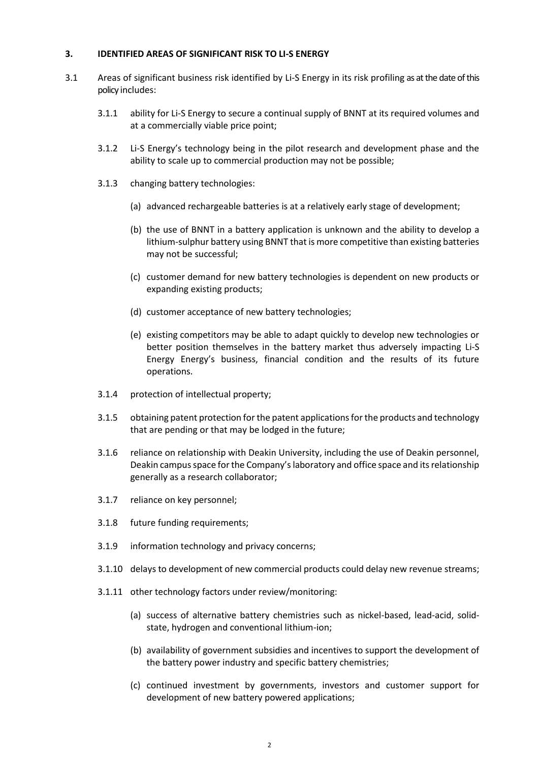### **3. IDENTIFIED AREAS OF SIGNIFICANT RISK TO LI-S ENERGY**

- 3.1 Areas of significant business risk identified by Li-S Energy in its risk profiling as at the date of this policy includes:
	- 3.1.1 ability for Li-S Energy to secure a continual supply of BNNT at its required volumes and at a commercially viable price point;
	- 3.1.2 Li-S Energy's technology being in the pilot research and development phase and the ability to scale up to commercial production may not be possible;
	- 3.1.3 changing battery technologies:
		- (a) advanced rechargeable batteries is at a relatively early stage of development;
		- (b) the use of BNNT in a battery application is unknown and the ability to develop a lithium-sulphur battery using BNNT that is more competitive than existing batteries may not be successful;
		- (c) customer demand for new battery technologies is dependent on new products or expanding existing products;
		- (d) customer acceptance of new battery technologies;
		- (e) existing competitors may be able to adapt quickly to develop new technologies or better position themselves in the battery market thus adversely impacting Li-S Energy Energy's business, financial condition and the results of its future operations.
	- 3.1.4 protection of intellectual property;
	- 3.1.5 obtaining patent protection for the patent applications for the products and technology that are pending or that may be lodged in the future;
	- 3.1.6 reliance on relationship with Deakin University, including the use of Deakin personnel, Deakin campus space for the Company's laboratory and office space and its relationship generally as a research collaborator;
	- 3.1.7 reliance on key personnel;
	- 3.1.8 future funding requirements;
	- 3.1.9 information technology and privacy concerns;
	- 3.1.10 delays to development of new commercial products could delay new revenue streams;
	- 3.1.11 other technology factors under review/monitoring:
		- (a) success of alternative battery chemistries such as nickel-based, lead-acid, solidstate, hydrogen and conventional lithium-ion;
		- (b) availability of government subsidies and incentives to support the development of the battery power industry and specific battery chemistries;
		- (c) continued investment by governments, investors and customer support for development of new battery powered applications;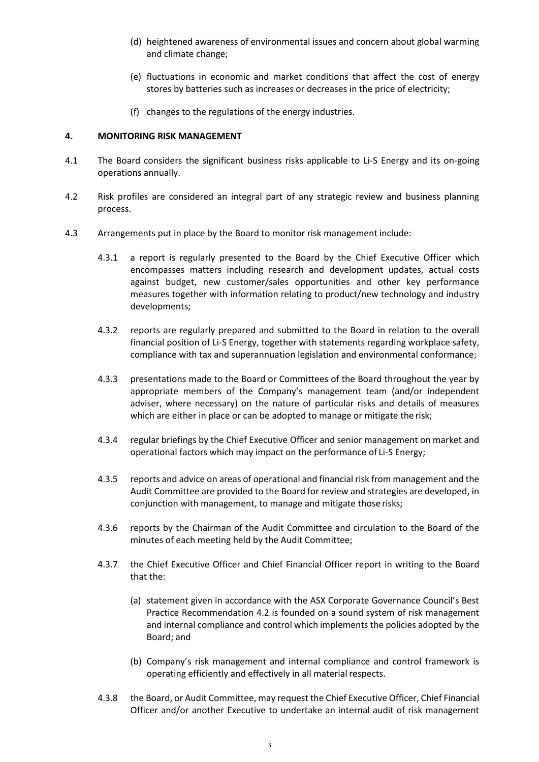- (d) heightened awareness of environmental issues and concern about global warming and climate change;
- (e) fluctuations in economic and market conditions that affect the cost of energy stores by batteries such as increases or decreases in the price of electricity;
- (f) changes to the regulations of the energy industries.

### **4. MONITORING RISK MANAGEMENT**

- 4.1 The Board considers the significant business risks applicable to Li-S Energy and its on-going operations annually.
- 4.2 Risk profiles are considered an integral part of any strategic review and business planning process.
- 4.3 Arrangements put in place by the Board to monitor risk management include:
	- 4.3.1 a report is regularly presented to the Board by the Chief Executive Officer which encompasses matters including research and development updates, actual costs against budget, new customer/sales opportunities and other key performance measures together with information relating to product/new technology and industry developments;
	- 4.3.2 reports are regularly prepared and submitted to the Board in relation to the overall financial position of Li-S Energy, together with statements regarding workplace safety, compliance with tax and superannuation legislation and environmental conformance;
	- 4.3.3 presentations made to the Board or Committees of the Board throughout the year by appropriate members of the Company's management team (and/or independent adviser, where necessary) on the nature of particular risks and details of measures which are either in place or can be adopted to manage or mitigate the risk;
	- 4.3.4 regular briefings by the Chief Executive Officer and senior management on market and operational factors which may impact on the performance of Li-S Energy;
	- 4.3.5 reports and advice on areas of operational and financial risk from management and the Audit Committee are provided to the Board for review and strategies are developed, in conjunction with management, to manage and mitigate those risks;
	- 4.3.6 reports by the Chairman of the Audit Committee and circulation to the Board of the minutes of each meeting held by the Audit Committee;
	- 4.3.7 the Chief Executive Officer and Chief Financial Officer report in writing to the Board that the:
		- (a) statement given in accordance with the ASX Corporate Governance Council's Best Practice Recommendation 4.2 is founded on a sound system of risk management and internal compliance and control which implements the policies adopted by the Board; and
		- (b) Company's risk management and internal compliance and control framework is operating efficiently and effectively in all material respects.
	- 4.3.8 the Board, or Audit Committee, may request the Chief Executive Officer, Chief Financial Officer and/or another Executive to undertake an internal audit of risk management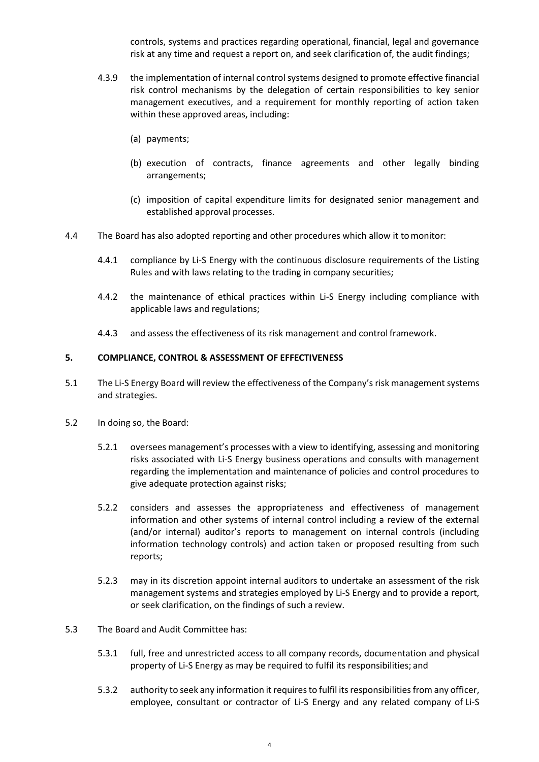controls, systems and practices regarding operational, financial, legal and governance risk at any time and request a report on, and seek clarification of, the audit findings;

- 4.3.9 the implementation of internal control systems designed to promote effective financial risk control mechanisms by the delegation of certain responsibilities to key senior management executives, and a requirement for monthly reporting of action taken within these approved areas, including:
	- (a) payments;
	- (b) execution of contracts, finance agreements and other legally binding arrangements;
	- (c) imposition of capital expenditure limits for designated senior management and established approval processes.
- 4.4 The Board has also adopted reporting and other procedures which allow it tomonitor:
	- 4.4.1 compliance by Li-S Energy with the continuous disclosure requirements of the Listing Rules and with laws relating to the trading in company securities;
	- 4.4.2 the maintenance of ethical practices within Li-S Energy including compliance with applicable laws and regulations;
	- 4.4.3 and assess the effectiveness of its risk management and control framework.

# **5. COMPLIANCE, CONTROL & ASSESSMENT OF EFFECTIVENESS**

- 5.1 The Li-S Energy Board will review the effectiveness of the Company's risk management systems and strategies.
- 5.2 In doing so, the Board:
	- 5.2.1 oversees management's processes with a view to identifying, assessing and monitoring risks associated with Li-S Energy business operations and consults with management regarding the implementation and maintenance of policies and control procedures to give adequate protection against risks;
	- 5.2.2 considers and assesses the appropriateness and effectiveness of management information and other systems of internal control including a review of the external (and/or internal) auditor's reports to management on internal controls (including information technology controls) and action taken or proposed resulting from such reports;
	- 5.2.3 may in its discretion appoint internal auditors to undertake an assessment of the risk management systems and strategies employed by Li-S Energy and to provide a report, or seek clarification, on the findings of such a review.
- 5.3 The Board and Audit Committee has:
	- 5.3.1 full, free and unrestricted access to all company records, documentation and physical property of Li-S Energy as may be required to fulfil its responsibilities; and
	- 5.3.2 authority to seek any information it requires to fulfil its responsibilities from any officer, employee, consultant or contractor of Li-S Energy and any related company of Li-S